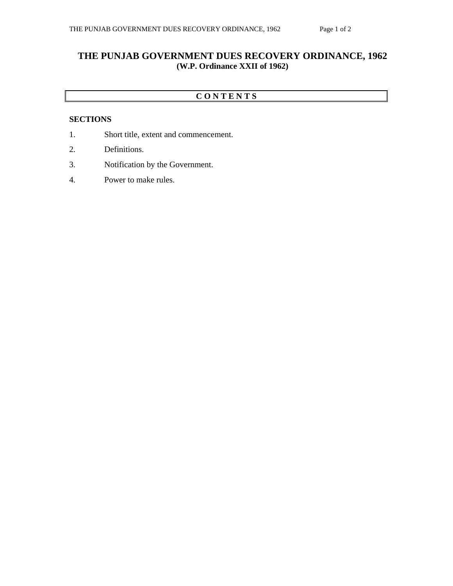## **THE PUNJAB GOVERNMENT DUES RECOVERY ORDINANCE, 1962 (W.P. Ordinance XXII of 1962)**

### **C O N T E N T S**

#### **SECTIONS**

- 1. Short title, extent and commencement.
- 2. Definitions.
- 3. Notification by the Government.
- 4. Power to make rules.